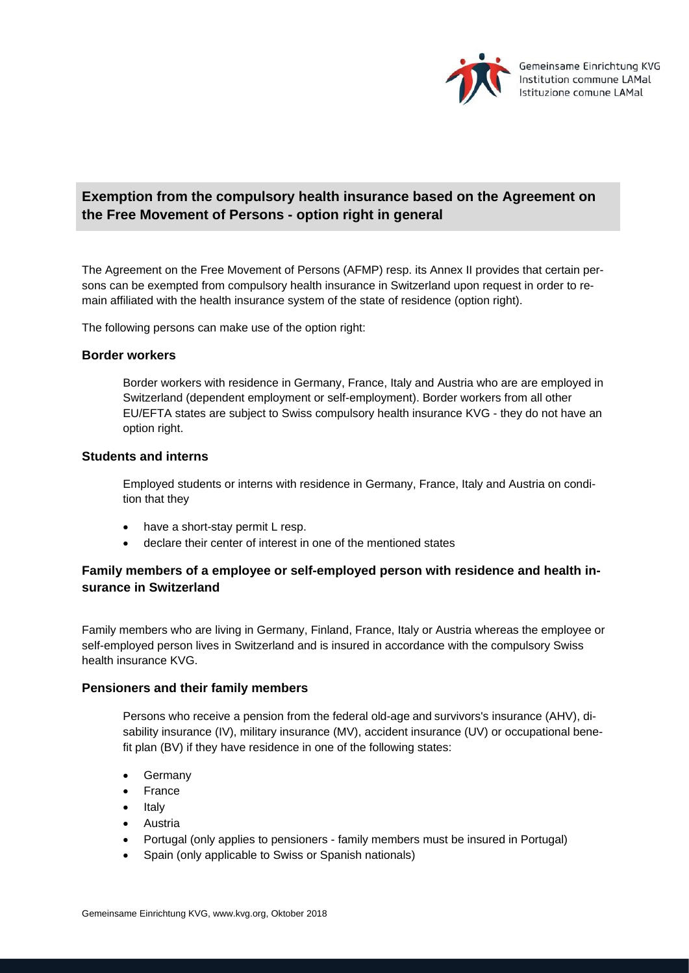

# **Exemption from the compulsory health insurance based on the Agreement on the Free Movement of Persons - option right in general**

The Agreement on the Free Movement of Persons (AFMP) resp. its Annex II provides that certain persons can be exempted from compulsory health insurance in Switzerland upon request in order to remain affiliated with the health insurance system of the state of residence (option right).

The following persons can make use of the option right:

### **Border workers**

Border workers with residence in Germany, France, Italy and Austria who are are employed in Switzerland (dependent employment or self-employment). Border workers from all other EU/EFTA states are subject to Swiss compulsory health insurance KVG - they do not have an option right.

## **Students and interns**

Employed students or interns with residence in Germany, France, Italy and Austria on condition that they

- have a short-stay permit L resp.
- declare their center of interest in one of the mentioned states

# **Family members of a employee or self-employed person with residence and health insurance in Switzerland**

Family members who are living in Germany, Finland, France, Italy or Austria whereas the employee or self-employed person lives in Switzerland and is insured in accordance with the compulsory Swiss health insurance KVG.

### **Pensioners and their family members**

Persons who receive a pension from the federal old-age and survivors's insurance (AHV), disability insurance (IV), military insurance (MV), accident insurance (UV) or occupational benefit plan (BV) if they have residence in one of the following states:

- Germany
- France
- Italy
- Austria
- Portugal (only applies to pensioners family members must be insured in Portugal)
- Spain (only applicable to Swiss or Spanish nationals)